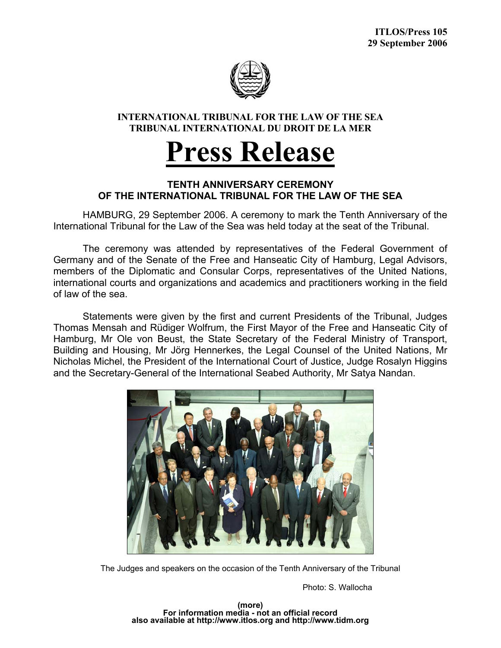

## **INTERNATIONAL TRIBUNAL FOR THE LAW OF THE SEA TRIBUNAL INTERNATIONAL DU DROIT DE LA MER**

## **Press Release**

## **TENTH ANNIVERSARY CEREMONY OF THE INTERNATIONAL TRIBUNAL FOR THE LAW OF THE SEA**

 HAMBURG, 29 September 2006. A ceremony to mark the Tenth Anniversary of the International Tribunal for the Law of the Sea was held today at the seat of the Tribunal.

The ceremony was attended by representatives of the Federal Government of Germany and of the Senate of the Free and Hanseatic City of Hamburg, Legal Advisors, members of the Diplomatic and Consular Corps, representatives of the United Nations, international courts and organizations and academics and practitioners working in the field of law of the sea.

Statements were given by the first and current Presidents of the Tribunal, Judges Thomas Mensah and Rüdiger Wolfrum, the First Mayor of the Free and Hanseatic City of Hamburg, Mr Ole von Beust, the State Secretary of the Federal Ministry of Transport, Building and Housing, Mr Jörg Hennerkes, the Legal Counsel of the United Nations, Mr Nicholas Michel, the President of the International Court of Justice, Judge Rosalyn Higgins and the Secretary-General of the International Seabed Authority, Mr Satya Nandan.



The Judges and speakers on the occasion of the Tenth Anniversary of the Tribunal

Photo: S. Wallocha

**(more) For information media - not an official record also available at http://www.itlos.org and http://www.tidm.org**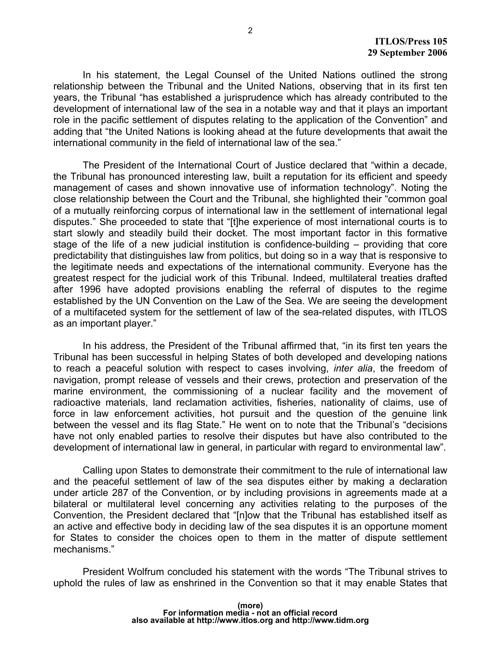In his statement, the Legal Counsel of the United Nations outlined the strong relationship between the Tribunal and the United Nations, observing that in its first ten years, the Tribunal "has established a jurisprudence which has already contributed to the development of international law of the sea in a notable way and that it plays an important role in the pacific settlement of disputes relating to the application of the Convention" and adding that "the United Nations is looking ahead at the future developments that await the international community in the field of international law of the sea."

 The President of the International Court of Justice declared that "within a decade, the Tribunal has pronounced interesting law, built a reputation for its efficient and speedy management of cases and shown innovative use of information technology". Noting the close relationship between the Court and the Tribunal, she highlighted their "common goal of a mutually reinforcing corpus of international law in the settlement of international legal disputes." She proceeded to state that "[t]he experience of most international courts is to start slowly and steadily build their docket. The most important factor in this formative stage of the life of a new judicial institution is confidence-building – providing that core predictability that distinguishes law from politics, but doing so in a way that is responsive to the legitimate needs and expectations of the international community. Everyone has the greatest respect for the judicial work of this Tribunal. Indeed, multilateral treaties drafted after 1996 have adopted provisions enabling the referral of disputes to the regime established by the UN Convention on the Law of the Sea. We are seeing the development of a multifaceted system for the settlement of law of the sea-related disputes, with ITLOS as an important player."

 In his address, the President of the Tribunal affirmed that, "in its first ten years the Tribunal has been successful in helping States of both developed and developing nations to reach a peaceful solution with respect to cases involving, *inter alia*, the freedom of navigation, prompt release of vessels and their crews, protection and preservation of the marine environment, the commissioning of a nuclear facility and the movement of radioactive materials, land reclamation activities, fisheries, nationality of claims, use of force in law enforcement activities, hot pursuit and the question of the genuine link between the vessel and its flag State." He went on to note that the Tribunal's "decisions have not only enabled parties to resolve their disputes but have also contributed to the development of international law in general, in particular with regard to environmental law".

 Calling upon States to demonstrate their commitment to the rule of international law and the peaceful settlement of law of the sea disputes either by making a declaration under article 287 of the Convention, or by including provisions in agreements made at a bilateral or multilateral level concerning any activities relating to the purposes of the Convention, the President declared that "[n]ow that the Tribunal has established itself as an active and effective body in deciding law of the sea disputes it is an opportune moment for States to consider the choices open to them in the matter of dispute settlement mechanisms."

 President Wolfrum concluded his statement with the words "The Tribunal strives to uphold the rules of law as enshrined in the Convention so that it may enable States that